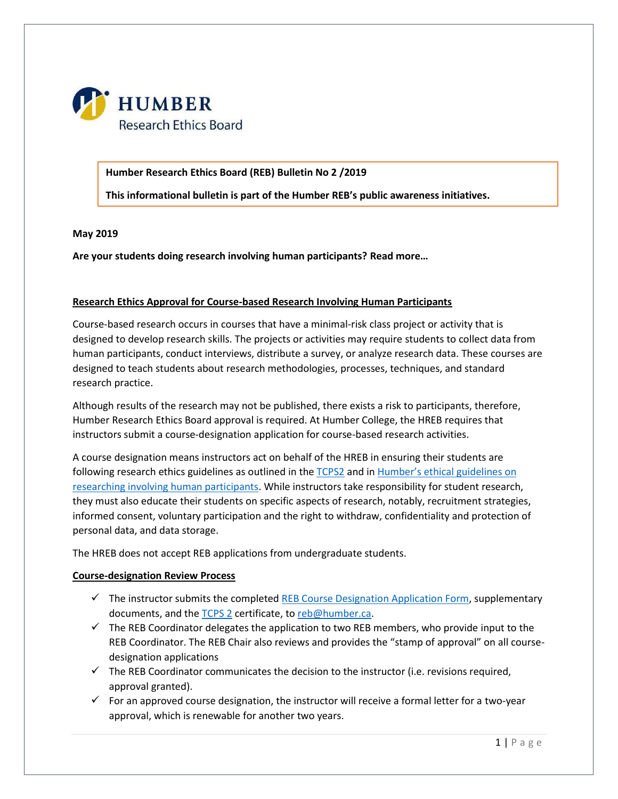

**Humber Research Ethics Board (REB) Bulletin No 2 /2019**

**This informational bulletin is part of the Humber REB's public awareness initiatives.**

#### **May 2019**

**Are your students doing research involving human participants? Read more…**

## **Research Ethics Approval for Course-based Research Involving Human Participants**

Course-based research occurs in courses that have a minimal-risk class project or activity that is designed to develop research skills. The projects or activities may require students to collect data from human participants, conduct interviews, distribute a survey, or analyze research data. These courses are designed to teach students about research methodologies, processes, techniques, and standard research practice.

Although results of the research may not be published, there exists a risk to participants, therefore, Humber Research Ethics Board approval is required. At Humber College, the HREB requires that instructors submit a course-designation application for course-based research activities.

A course designation means instructors act on behalf of the HREB in ensuring their students are following research ethics guidelines as outlined in the [TCPS2](http://www.pre.ethics.gc.ca/pdf/eng/tcps2-2014/TCPS_2_FINAL_Web.pdf) and in [Humber's ethical guidelines on](https://humber.ca/legal-and-risk-management/policies/academic/ethical-conduct-for-research-involving-humans-policy.html)  [researching involving human participants.](https://humber.ca/legal-and-risk-management/policies/academic/ethical-conduct-for-research-involving-humans-policy.html) While instructors take responsibility for student research, they must also educate their students on specific aspects of research, notably, recruitment strategies, informed consent, voluntary participation and the right to withdraw, confidentiality and protection of personal data, and data storage.

The HREB does not accept REB applications from undergraduate students.

## **Course-designation Review Process**

- $\checkmark$  The instructor submits the completed [REB Course Designation Application Form,](http://www.humber.ca/research/wp-content/uploads/2017/03/REB-Form-CD1-01-04-13.pdf) supplementary documents, and the [TCPS 2](https://tcps2core.ca/) certificate, to [reb@humber.ca.](mailto:reb@humber.ca)
- $\checkmark$  The REB Coordinator delegates the application to two REB members, who provide input to the REB Coordinator. The REB Chair also reviews and provides the "stamp of approval" on all coursedesignation applications
- $\checkmark$  The REB Coordinator communicates the decision to the instructor (i.e. revisions required, approval granted).
- $\checkmark$  For an approved course designation, the instructor will receive a formal letter for a two-year approval, which is renewable for another two years.